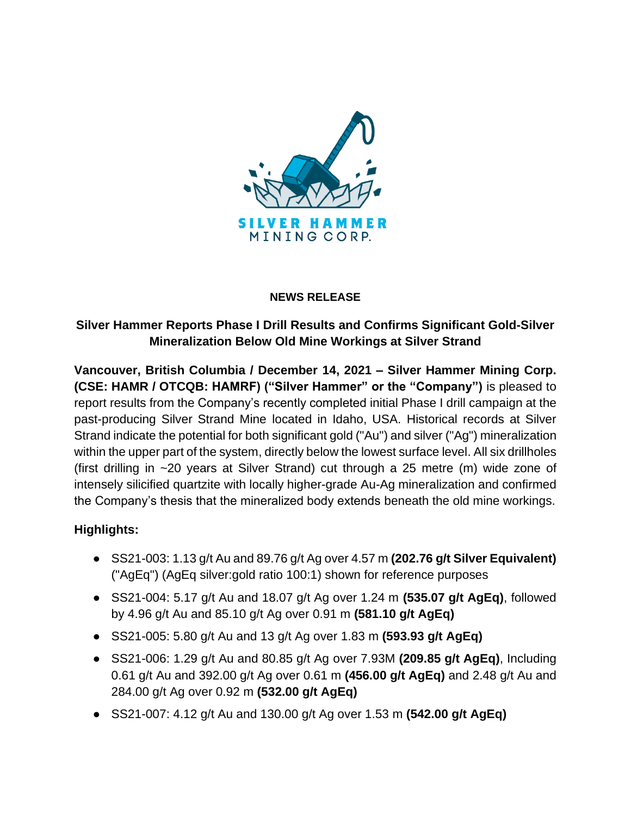

#### **NEWS RELEASE**

# **Silver Hammer Reports Phase I Drill Results and Confirms Significant Gold-Silver Mineralization Below Old Mine Workings at Silver Strand**

**Vancouver, British Columbia / December 14, 2021 – Silver Hammer Mining Corp. (CSE: HAMR / OTCQB: HAMRF) ("Silver Hammer" or the "Company")** is pleased to report results from the Company's recently completed initial Phase I drill campaign at the past-producing Silver Strand Mine located in Idaho, USA. Historical records at Silver Strand indicate the potential for both significant gold ("Au") and silver ("Ag") mineralization within the upper part of the system, directly below the lowest surface level. All six drillholes (first drilling in ~20 years at Silver Strand) cut through a 25 metre (m) wide zone of intensely silicified quartzite with locally higher-grade Au-Ag mineralization and confirmed the Company's thesis that the mineralized body extends beneath the old mine workings.

## **Highlights:**

- SS21-003: 1.13 g/t Au and 89.76 g/t Ag over 4.57 m **(202.76 g/t Silver Equivalent)** ("AgEq") (AgEq silver:gold ratio 100:1) shown for reference purposes
- SS21-004: 5.17 g/t Au and 18.07 g/t Ag over 1.24 m **(535.07 g/t AgEq)**, followed by 4.96 g/t Au and 85.10 g/t Ag over 0.91 m **(581.10 g/t AgEq)**
- SS21-005: 5.80 g/t Au and 13 g/t Ag over 1.83 m **(593.93 g/t AgEq)**
- SS21-006: 1.29 g/t Au and 80.85 g/t Ag over 7.93M **(209.85 g/t AgEq)**, Including 0.61 g/t Au and 392.00 g/t Ag over 0.61 m **(456.00 g/t AgEq)** and 2.48 g/t Au and 284.00 g/t Ag over 0.92 m **(532.00 g/t AgEq)**
- SS21-007: 4.12 g/t Au and 130.00 g/t Ag over 1.53 m **(542.00 g/t AgEq)**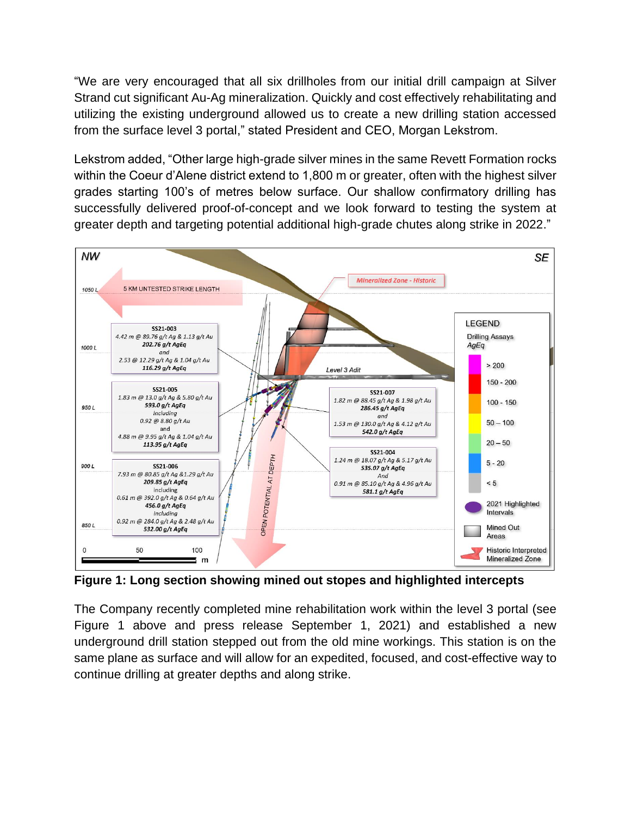"We are very encouraged that all six drillholes from our initial drill campaign at Silver Strand cut significant Au-Ag mineralization. Quickly and cost effectively rehabilitating and utilizing the existing underground allowed us to create a new drilling station accessed from the surface level 3 portal," stated President and CEO, Morgan Lekstrom.

Lekstrom added, "Other large high-grade silver mines in the same Revett Formation rocks within the Coeur d'Alene district extend to 1,800 m or greater, often with the highest silver grades starting 100's of metres below surface. Our shallow confirmatory drilling has successfully delivered proof-of-concept and we look forward to testing the system at greater depth and targeting potential additional high-grade chutes along strike in 2022."



**Figure 1: Long section showing mined out stopes and highlighted intercepts**

The Company recently completed mine rehabilitation work within the level 3 portal (see Figure 1 above and press release September 1, 2021) and established a new underground drill station stepped out from the old mine workings. This station is on the same plane as surface and will allow for an expedited, focused, and cost-effective way to continue drilling at greater depths and along strike.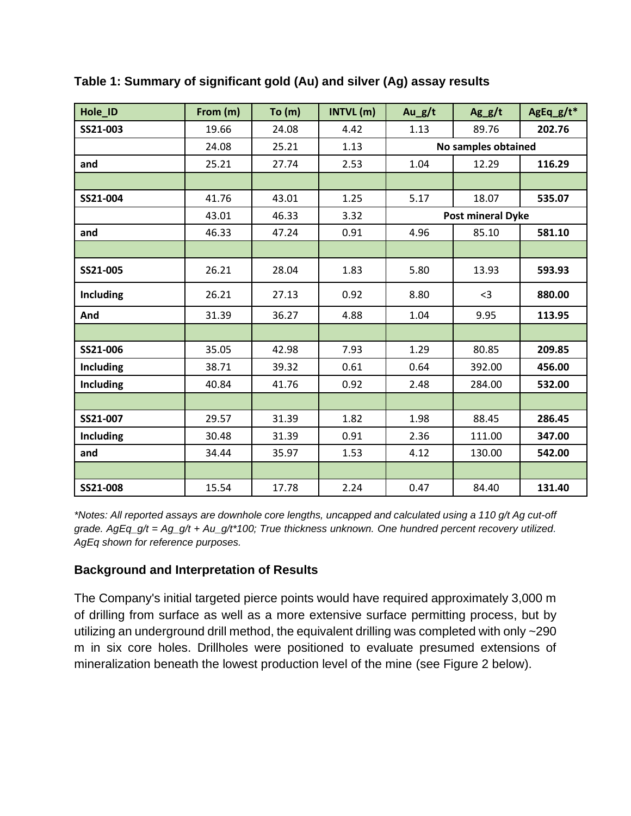| Hole ID          | From (m) | To(m) | INTVL (m) | $Au_g/t$                 | $Ag_g/t$ | AgEq_g/t* |
|------------------|----------|-------|-----------|--------------------------|----------|-----------|
| SS21-003         | 19.66    | 24.08 | 4.42      | 1.13                     | 89.76    | 202.76    |
|                  | 24.08    | 25.21 | 1.13      | No samples obtained      |          |           |
| and              | 25.21    | 27.74 | 2.53      | 1.04                     | 12.29    | 116.29    |
|                  |          |       |           |                          |          |           |
| SS21-004         | 41.76    | 43.01 | 1.25      | 5.17                     | 18.07    | 535.07    |
|                  | 43.01    | 46.33 | 3.32      | <b>Post mineral Dyke</b> |          |           |
| and              | 46.33    | 47.24 | 0.91      | 4.96                     | 85.10    | 581.10    |
|                  |          |       |           |                          |          |           |
| SS21-005         | 26.21    | 28.04 | 1.83      | 5.80                     | 13.93    | 593.93    |
| <b>Including</b> | 26.21    | 27.13 | 0.92      | 8.80                     | $3$      | 880.00    |
| And              | 31.39    | 36.27 | 4.88      | 1.04                     | 9.95     | 113.95    |
|                  |          |       |           |                          |          |           |
| SS21-006         | 35.05    | 42.98 | 7.93      | 1.29                     | 80.85    | 209.85    |
| <b>Including</b> | 38.71    | 39.32 | 0.61      | 0.64                     | 392.00   | 456.00    |
| <b>Including</b> | 40.84    | 41.76 | 0.92      | 2.48                     | 284.00   | 532.00    |
|                  |          |       |           |                          |          |           |
| SS21-007         | 29.57    | 31.39 | 1.82      | 1.98                     | 88.45    | 286.45    |
| <b>Including</b> | 30.48    | 31.39 | 0.91      | 2.36                     | 111.00   | 347.00    |
| and              | 34.44    | 35.97 | 1.53      | 4.12                     | 130.00   | 542.00    |
|                  |          |       |           |                          |          |           |
| SS21-008         | 15.54    | 17.78 | 2.24      | 0.47                     | 84.40    | 131.40    |

**Table 1: Summary of significant gold (Au) and silver (Ag) assay results**

*\*Notes: All reported assays are downhole core lengths, uncapped and calculated using a 110 g/t Ag cut-off grade. AgEq\_g/t = Ag\_g/t + Au\_g/t\*100; True thickness unknown. One hundred percent recovery utilized. AgEq shown for reference purposes.* 

## **Background and Interpretation of Results**

The Company's initial targeted pierce points would have required approximately 3,000 m of drilling from surface as well as a more extensive surface permitting process, but by utilizing an underground drill method, the equivalent drilling was completed with only ~290 m in six core holes. Drillholes were positioned to evaluate presumed extensions of mineralization beneath the lowest production level of the mine (see Figure 2 below).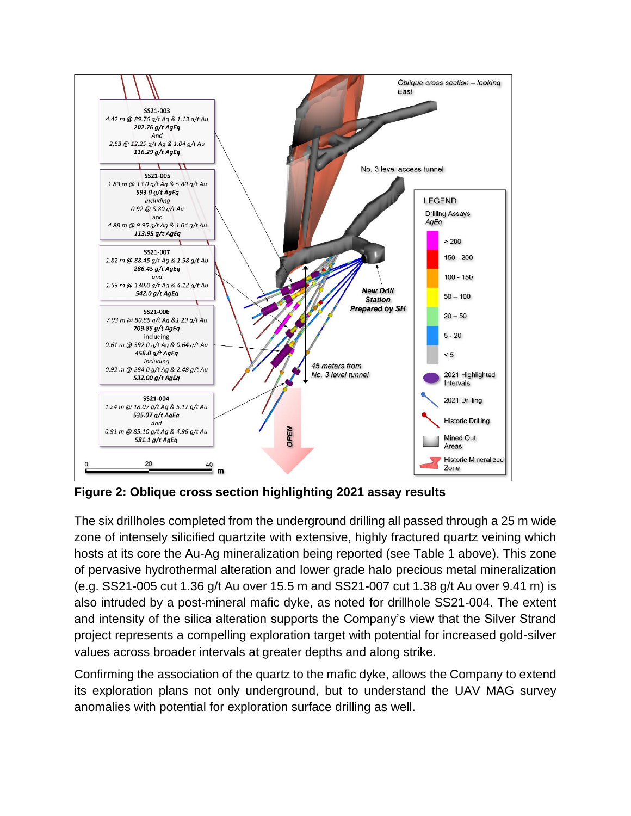

**Figure 2: Oblique cross section highlighting 2021 assay results**

The six drillholes completed from the underground drilling all passed through a 25 m wide zone of intensely silicified quartzite with extensive, highly fractured quartz veining which hosts at its core the Au-Ag mineralization being reported (see Table 1 above). This zone of pervasive hydrothermal alteration and lower grade halo precious metal mineralization (e.g. SS21-005 cut 1.36 g/t Au over 15.5 m and SS21-007 cut 1.38 g/t Au over 9.41 m) is also intruded by a post-mineral mafic dyke, as noted for drillhole SS21-004. The extent and intensity of the silica alteration supports the Company's view that the Silver Strand project represents a compelling exploration target with potential for increased gold-silver values across broader intervals at greater depths and along strike.

Confirming the association of the quartz to the mafic dyke, allows the Company to extend its exploration plans not only underground, but to understand the UAV MAG survey anomalies with potential for exploration surface drilling as well.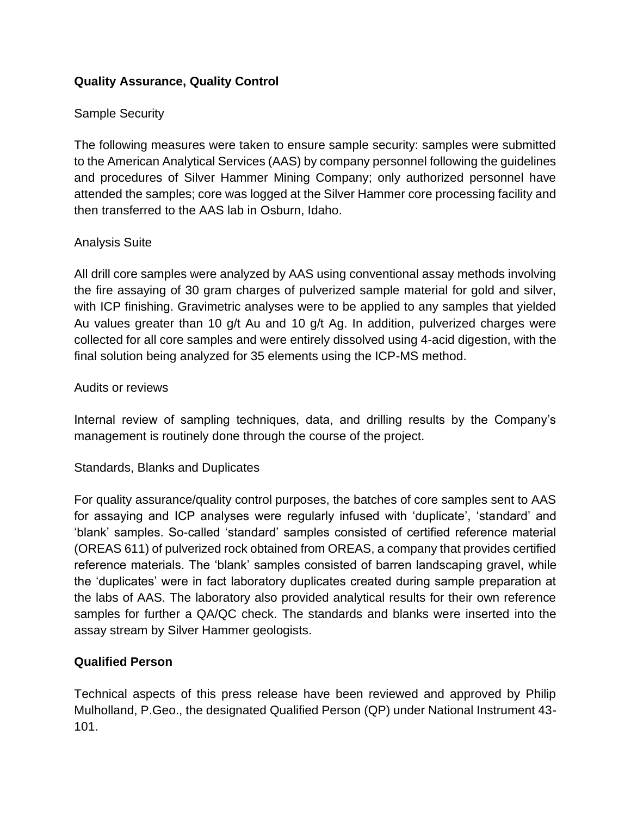# **Quality Assurance, Quality Control**

## Sample Security

The following measures were taken to ensure sample security: samples were submitted to the American Analytical Services (AAS) by company personnel following the guidelines and procedures of Silver Hammer Mining Company; only authorized personnel have attended the samples; core was logged at the Silver Hammer core processing facility and then transferred to the AAS lab in Osburn, Idaho.

## Analysis Suite

All drill core samples were analyzed by AAS using conventional assay methods involving the fire assaying of 30 gram charges of pulverized sample material for gold and silver, with ICP finishing. Gravimetric analyses were to be applied to any samples that yielded Au values greater than 10 g/t Au and 10 g/t Ag. In addition, pulverized charges were collected for all core samples and were entirely dissolved using 4-acid digestion, with the final solution being analyzed for 35 elements using the ICP-MS method.

#### Audits or reviews

Internal review of sampling techniques, data, and drilling results by the Company's management is routinely done through the course of the project.

#### Standards, Blanks and Duplicates

For quality assurance/quality control purposes, the batches of core samples sent to AAS for assaying and ICP analyses were regularly infused with 'duplicate', 'standard' and 'blank' samples. So-called 'standard' samples consisted of certified reference material (OREAS 611) of pulverized rock obtained from OREAS, a company that provides certified reference materials. The 'blank' samples consisted of barren landscaping gravel, while the 'duplicates' were in fact laboratory duplicates created during sample preparation at the labs of AAS. The laboratory also provided analytical results for their own reference samples for further a QA/QC check. The standards and blanks were inserted into the assay stream by Silver Hammer geologists.

## **Qualified Person**

Technical aspects of this press release have been reviewed and approved by Philip Mulholland, P.Geo., the designated Qualified Person (QP) under National Instrument 43- 101.